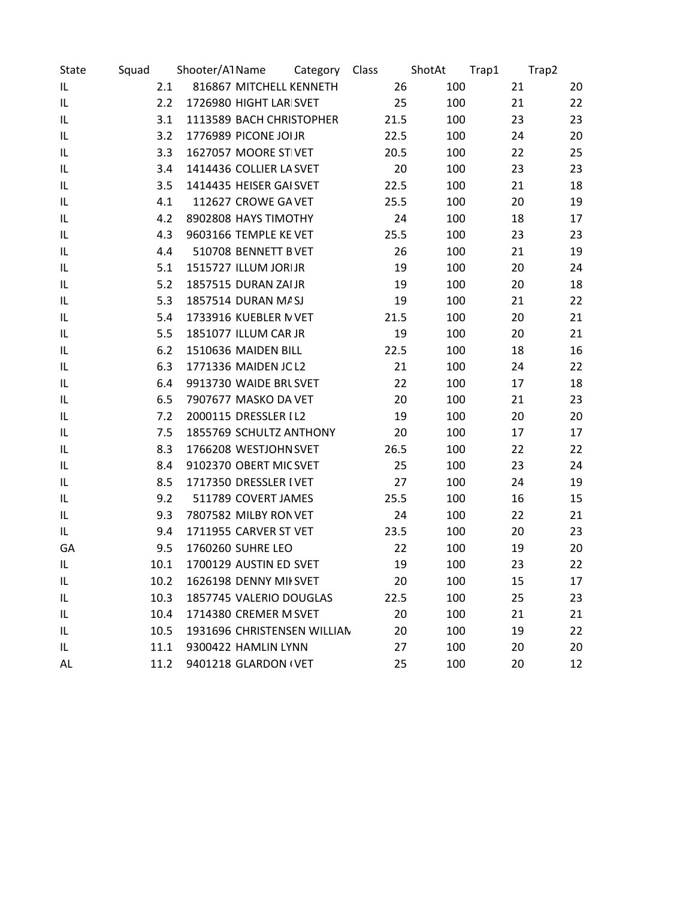| State | Squad | Shooter/A1Name |                             | Category | Class |      | ShotAt | Trap1 | Trap2 |
|-------|-------|----------------|-----------------------------|----------|-------|------|--------|-------|-------|
| IL    |       | 2.1            | 816867 MITCHELL KENNETH     |          |       | 26   | 100    | 21    | 20    |
| IL    |       | 2.2            | 1726980 HIGHT LAR SVET      |          |       | 25   | 100    | 21    | 22    |
| IL    |       | 3.1            | 1113589 BACH CHRISTOPHER    |          |       | 21.5 | 100    | 23    | 23    |
| IL    |       | 3.2            | 1776989 PICONE JOIJR        |          |       | 22.5 | 100    | 24    | 20    |
| IL    |       | 3.3            | 1627057 MOORE STIVET        |          |       | 20.5 | 100    | 22    | 25    |
| IL    |       | 3.4            | 1414436 COLLIER LA SVET     |          |       | 20   | 100    | 23    | 23    |
| IL    |       | 3.5            | 1414435 HEISER GAI SVET     |          |       | 22.5 | 100    | 21    | 18    |
| IL    |       | 4.1            | 112627 CROWE GA VET         |          |       | 25.5 | 100    | 20    | 19    |
| IL    |       | 4.2            | 8902808 HAYS TIMOTHY        |          |       | 24   | 100    | 18    | 17    |
| IL    |       | 4.3            | 9603166 TEMPLE KE VET       |          |       | 25.5 | 100    | 23    | 23    |
| IL    |       | 4.4            | 510708 BENNETT BVET         |          |       | 26   | 100    | 21    | 19    |
| IL    |       | 5.1            | 1515727 ILLUM JORIJR        |          |       | 19   | 100    | 20    | 24    |
| IL    |       | 5.2            | 1857515 DURAN ZAIJR         |          |       | 19   | 100    | 20    | 18    |
| IL    |       | 5.3            | 1857514 DURAN M/SJ          |          |       | 19   | 100    | 21    | 22    |
| IL    |       | 5.4            | 1733916 KUEBLER N VET       |          |       | 21.5 | 100    | 20    | 21    |
| IL    |       | 5.5            | 1851077 ILLUM CAR JR        |          |       | 19   | 100    | 20    | 21    |
| IL    |       | 6.2            | 1510636 MAIDEN BILL         |          |       | 22.5 | 100    | 18    | 16    |
| IL    |       | 6.3            | 1771336 MAIDEN JC L2        |          |       | 21   | 100    | 24    | 22    |
| IL    |       | 6.4            | 9913730 WAIDE BRL SVET      |          |       | 22   | 100    | 17    | 18    |
| IL    |       | 6.5            | 7907677 MASKO DA VET        |          |       | 20   | 100    | 21    | 23    |
| IL    |       | 7.2            | 2000115 DRESSLER I L2       |          |       | 19   | 100    | 20    | 20    |
| IL    |       | 7.5            | 1855769 SCHULTZ ANTHONY     |          |       | 20   | 100    | 17    | 17    |
| IL    |       | 8.3            | 1766208 WESTJOHN SVET       |          |       | 26.5 | 100    | 22    | 22    |
| IL    |       | 8.4            | 9102370 OBERT MIC SVET      |          |       | 25   | 100    | 23    | 24    |
| IL    |       | 8.5            | 1717350 DRESSLER IVET       |          |       | 27   | 100    | 24    | 19    |
| IL    |       | 9.2            | 511789 COVERT JAMES         |          |       | 25.5 | 100    | 16    | 15    |
| IL    |       | 9.3            | 7807582 MILBY RON VET       |          |       | 24   | 100    | 22    | 21    |
| IL    |       | 9.4            | 1711955 CARVER ST VET       |          |       | 23.5 | 100    | 20    | 23    |
| GA    |       | 9.5            | 1760260 SUHRE LEO           |          |       | 22   | 100    | 19    | 20    |
| IL    | 10.1  |                | 1700129 AUSTIN ED SVET      |          |       | 19   | 100    | 23    | 22    |
| IL    | 10.2  |                | 1626198 DENNY MII SVET      |          |       | 20   | 100    | 15    | 17    |
| IL    | 10.3  |                | 1857745 VALERIO DOUGLAS     |          |       | 22.5 | 100    | 25    | 23    |
| IL    | 10.4  |                | 1714380 CREMER M SVET       |          |       | 20   | 100    | 21    | 21    |
| IL.   | 10.5  |                | 1931696 CHRISTENSEN WILLIAN |          |       | 20   | 100    | 19    | 22    |
| IL    | 11.1  |                | 9300422 HAMLIN LYNN         |          |       | 27   | 100    | 20    | 20    |
| AL.   | 11.2  |                | 9401218 GLARDON I VET       |          |       | 25   | 100    | 20    | 12    |